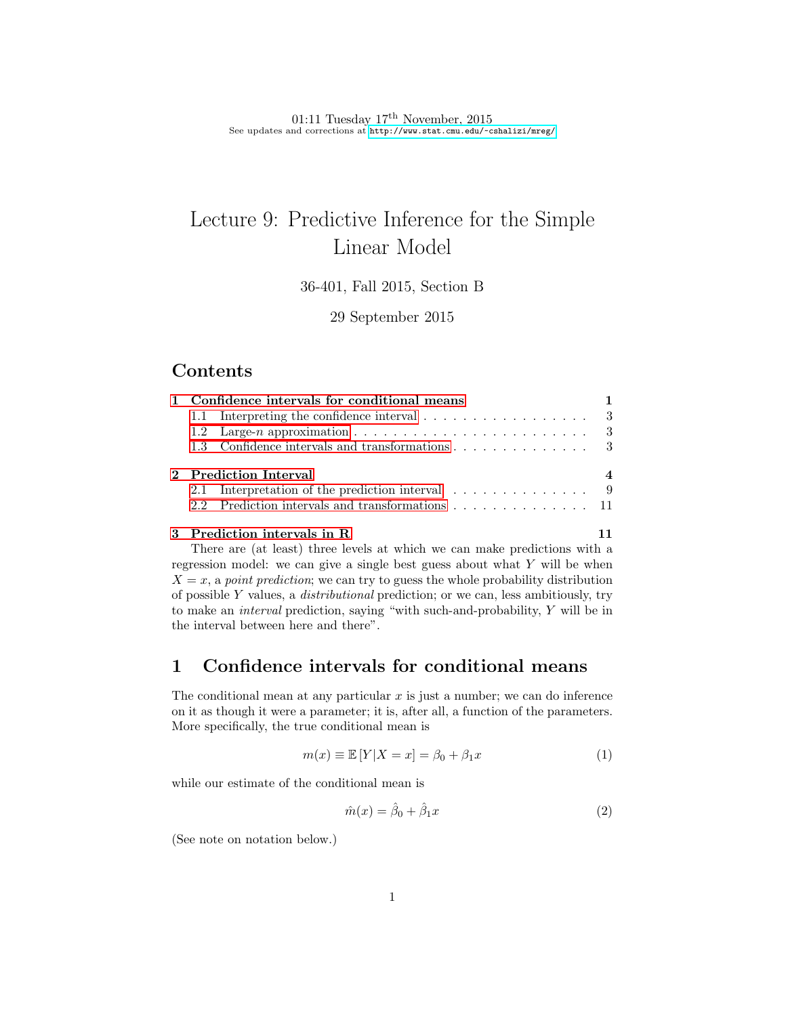01:11 Tuesday  $17<sup>th</sup>$  November, 2015 See updates and corrections at <http://www.stat.cmu.edu/~cshalizi/mreg/>

# Lecture 9: Predictive Inference for the Simple Linear Model

36-401, Fall 2015, Section B

29 September 2015

### Contents

| 1 Confidence intervals for conditional means |                                                                                 |  |
|----------------------------------------------|---------------------------------------------------------------------------------|--|
|                                              | 1.1 Interpreting the confidence interval $\ldots \ldots \ldots \ldots \ldots$ 3 |  |
|                                              |                                                                                 |  |
|                                              | 1.3 Confidence intervals and transformations 3                                  |  |
| 2 Prediction Interval                        |                                                                                 |  |
|                                              | 2.1 Interpretation of the prediction interval $\dots \dots \dots \dots$         |  |
|                                              | 2.2 Prediction intervals and transformations 11                                 |  |
|                                              |                                                                                 |  |

#### [3 Prediction intervals in R](#page-10-1) 11

There are (at least) three levels at which we can make predictions with a regression model: we can give a single best guess about what  $Y$  will be when  $X = x$ , a point prediction; we can try to guess the whole probability distribution of possible Y values, a distributional prediction; or we can, less ambitiously, try to make an interval prediction, saying "with such-and-probability, Y will be in the interval between here and there".

# <span id="page-0-0"></span>1 Confidence intervals for conditional means

The conditional mean at any particular  $x$  is just a number; we can do inference on it as though it were a parameter; it is, after all, a function of the parameters. More specifically, the true conditional mean is

$$
m(x) \equiv \mathbb{E}[Y|X=x] = \beta_0 + \beta_1 x \tag{1}
$$

while our estimate of the conditional mean is

$$
\hat{m}(x) = \hat{\beta}_0 + \hat{\beta}_1 x \tag{2}
$$

(See note on notation below.)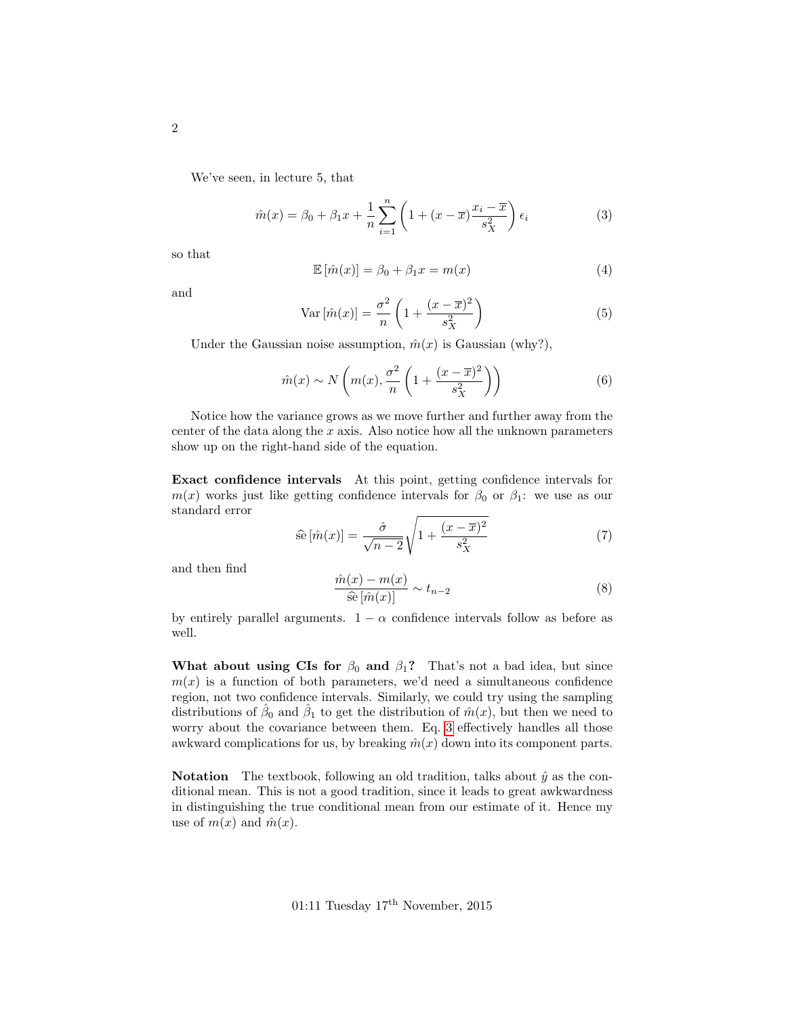We've seen, in lecture 5, that

<span id="page-1-0"></span>
$$
\hat{m}(x) = \beta_0 + \beta_1 x + \frac{1}{n} \sum_{i=1}^n \left( 1 + (x - \overline{x}) \frac{x_i - \overline{x}}{s_X^2} \right) \epsilon_i \tag{3}
$$

so that

$$
\mathbb{E}\left[\hat{m}(x)\right] = \beta_0 + \beta_1 x = m(x) \tag{4}
$$

and

$$
\text{Var}\left[\hat{m}(x)\right] = \frac{\sigma^2}{n} \left(1 + \frac{(x - \overline{x})^2}{s_X^2}\right) \tag{5}
$$

Under the Gaussian noise assumption,  $\hat{m}(x)$  is Gaussian (why?),

$$
\hat{m}(x) \sim N\left(m(x), \frac{\sigma^2}{n}\left(1 + \frac{(x-\overline{x})^2}{s_X^2}\right)\right) \tag{6}
$$

Notice how the variance grows as we move further and further away from the center of the data along the  $x$  axis. Also notice how all the unknown parameters show up on the right-hand side of the equation.

Exact confidence intervals At this point, getting confidence intervals for  $m(x)$  works just like getting confidence intervals for  $\beta_0$  or  $\beta_1$ : we use as our standard error

$$
\widehat{\text{se}}\left[\hat{m}(x)\right] = \frac{\widehat{\sigma}}{\sqrt{n-2}}\sqrt{1 + \frac{(x-\overline{x})^2}{s_X^2}}\tag{7}
$$

and then find

$$
\frac{\hat{m}(x) - m(x)}{\hat{\mathfrak{se}}\left[\hat{m}(x)\right]} \sim t_{n-2} \tag{8}
$$

by entirely parallel arguments.  $1 - \alpha$  confidence intervals follow as before as well.

What about using CIs for  $\beta_0$  and  $\beta_1$ ? That's not a bad idea, but since  $m(x)$  is a function of both parameters, we'd need a simultaneous confidence region, not two confidence intervals. Similarly, we could try using the sampling distributions of  $\hat{\beta}_0$  and  $\hat{\beta}_1$  to get the distribution of  $\hat{m}(x)$ , but then we need to worry about the covariance between them. Eq. [3](#page-1-0) effectively handles all those awkward complications for us, by breaking  $\hat{m}(x)$  down into its component parts.

**Notation** The textbook, following an old tradition, talks about  $\hat{y}$  as the conditional mean. This is not a good tradition, since it leads to great awkwardness in distinguishing the true conditional mean from our estimate of it. Hence my use of  $m(x)$  and  $\hat{m}(x)$ .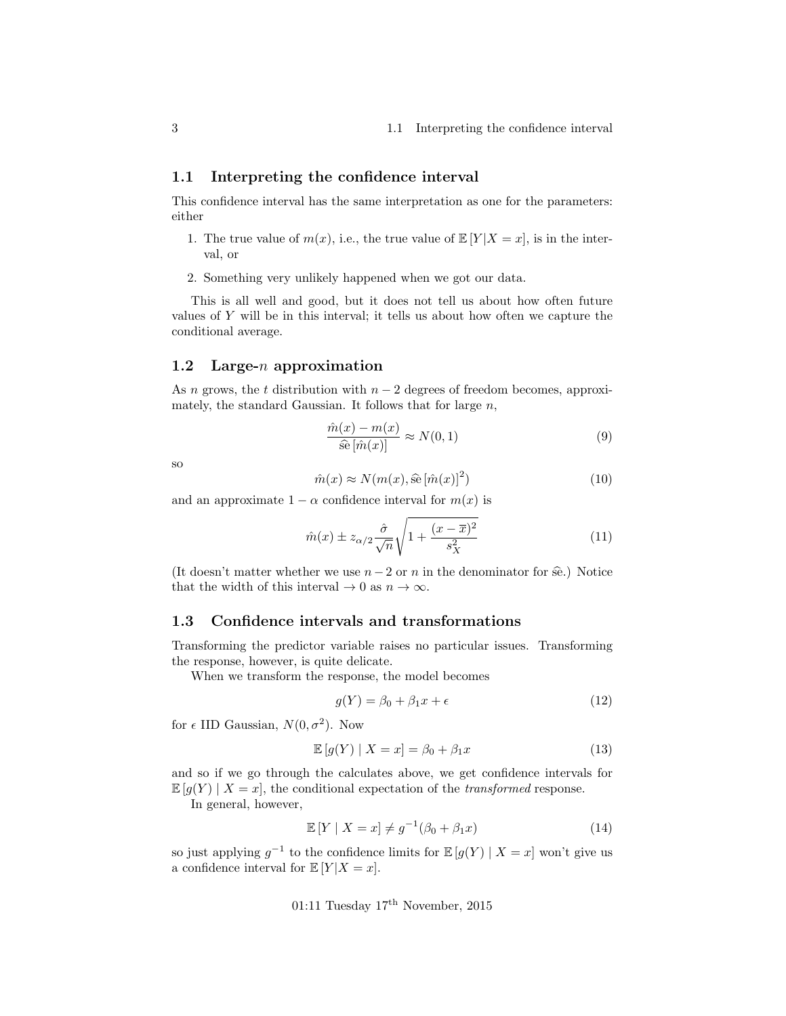#### <span id="page-2-0"></span>1.1 Interpreting the confidence interval

This confidence interval has the same interpretation as one for the parameters: either

- 1. The true value of  $m(x)$ , i.e., the true value of  $\mathbb{E}[Y|X=x]$ , is in the interval, or
- 2. Something very unlikely happened when we got our data.

This is all well and good, but it does not tell us about how often future values of Y will be in this interval; it tells us about how often we capture the conditional average.

#### <span id="page-2-1"></span>1.2 Large- $n$  approximation

As n grows, the t distribution with  $n-2$  degrees of freedom becomes, approximately, the standard Gaussian. It follows that for large  $n$ ,

$$
\frac{\hat{m}(x) - m(x)}{\hat{\mathfrak{se}}\left[\hat{m}(x)\right]} \approx N(0, 1) \tag{9}
$$

so

$$
\hat{m}(x) \approx N(m(x), \hat{\mathfrak{se}}\left[\hat{m}(x)\right]^2)
$$
\n(10)

and an approximate  $1 - \alpha$  confidence interval for  $m(x)$  is

$$
\hat{m}(x) \pm z_{\alpha/2} \frac{\hat{\sigma}}{\sqrt{n}} \sqrt{1 + \frac{(x - \overline{x})^2}{s_X^2}}
$$
\n(11)

(It doesn't matter whether we use  $n-2$  or n in the denominator for  $\hat{\mathfrak{se}}$ .) Notice that the width of this interval  $\rightarrow 0$  as  $n \rightarrow \infty$ .

#### <span id="page-2-2"></span>1.3 Confidence intervals and transformations

Transforming the predictor variable raises no particular issues. Transforming the response, however, is quite delicate.

When we transform the response, the model becomes

$$
g(Y) = \beta_0 + \beta_1 x + \epsilon \tag{12}
$$

for  $\epsilon$  IID Gaussian,  $N(0, \sigma^2)$ . Now

$$
\mathbb{E}\left[g(Y)\mid X=x\right] = \beta_0 + \beta_1 x \tag{13}
$$

and so if we go through the calculates above, we get confidence intervals for  $\mathbb{E}[g(Y) | X = x]$ , the conditional expectation of the *transformed* response.

In general, however,

$$
\mathbb{E}\left[Y \mid X=x\right] \neq g^{-1}(\beta_0 + \beta_1 x) \tag{14}
$$

so just applying  $g^{-1}$  to the confidence limits for  $\mathbb{E}[g(Y) | X = x]$  won't give us a confidence interval for  $\mathbb{E}[Y|X=x]$ .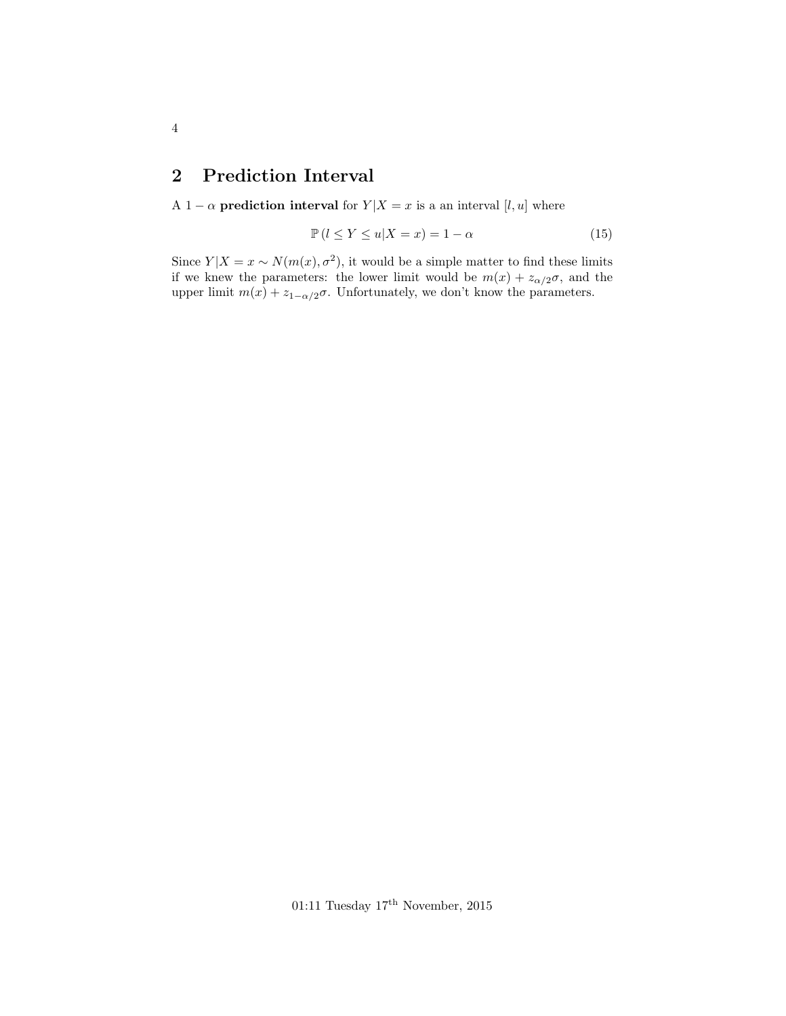# <span id="page-3-0"></span>2 Prediction Interval

A 1 –  $\alpha$  **prediction interval** for  $Y|X = x$  is a an interval [l, u] where

$$
\mathbb{P}\left(l \le Y \le u | X = x\right) = 1 - \alpha \tag{15}
$$

Since  $Y|X=x \sim N(m(x), \sigma^2)$ , it would be a simple matter to find these limits if we knew the parameters: the lower limit would be  $m(x) + z_{\alpha/2}\sigma$ , and the upper limit  $m(x) + z_{1-\alpha/2}\sigma$ . Unfortunately, we don't know the parameters.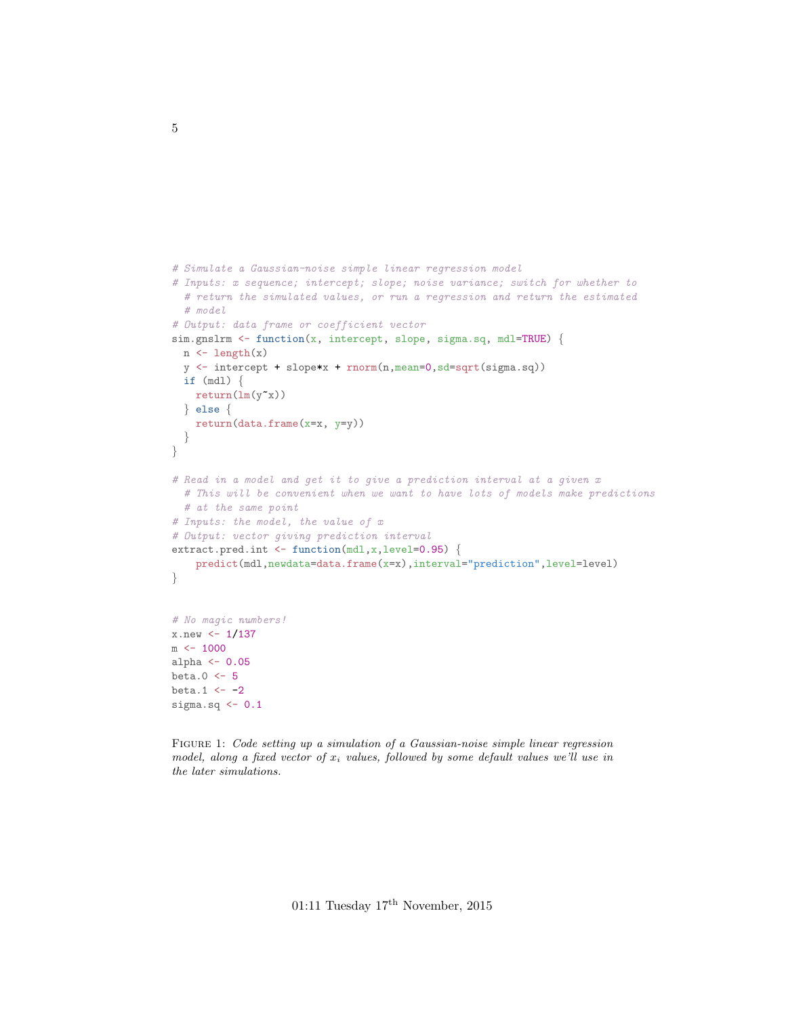```
# Simulate a Gaussian-noise simple linear regression model
# Inputs: x sequence; intercept; slope; noise variance; switch for whether to
  # return the simulated values, or run a regression and return the estimated
  # model
# Output: data frame or coefficient vector
sim.gnslrm <- function(x, intercept, slope, sigma.sq, mdl=TRUE) {
 n \leftarrow length(x)y <- intercept + slope*x + rnorm(n,mean=0,sd=sqrt(sigma.sq))
 if (mdl) {
   return(ln(y^*x))} else {
   return(data.frame(x=x, y=y))
  }
}
# Read in a model and get it to give a prediction interval at a given x
  # This will be convenient when we want to have lots of models make predictions
  # at the same point
# Inputs: the model, the value of x
# Output: vector giving prediction interval
extract.pred.int <- function(mdl,x,level=0.95) {
    predict(mdl,newdata=data.frame(x=x),interval="prediction",level=level)
}
# No magic numbers!
x.new < -1/137m <- 1000
alpha <- 0.05
beta.0 <- 5
beta.1 \leftarrow -2sigma.sq \leftarrow 0.1
```
Figure 1: Code setting up a simulation of a Gaussian-noise simple linear regression model, along a fixed vector of  $x_i$  values, followed by some default values we'll use in the later simulations.

01:11 Tuesday 17th November, 2015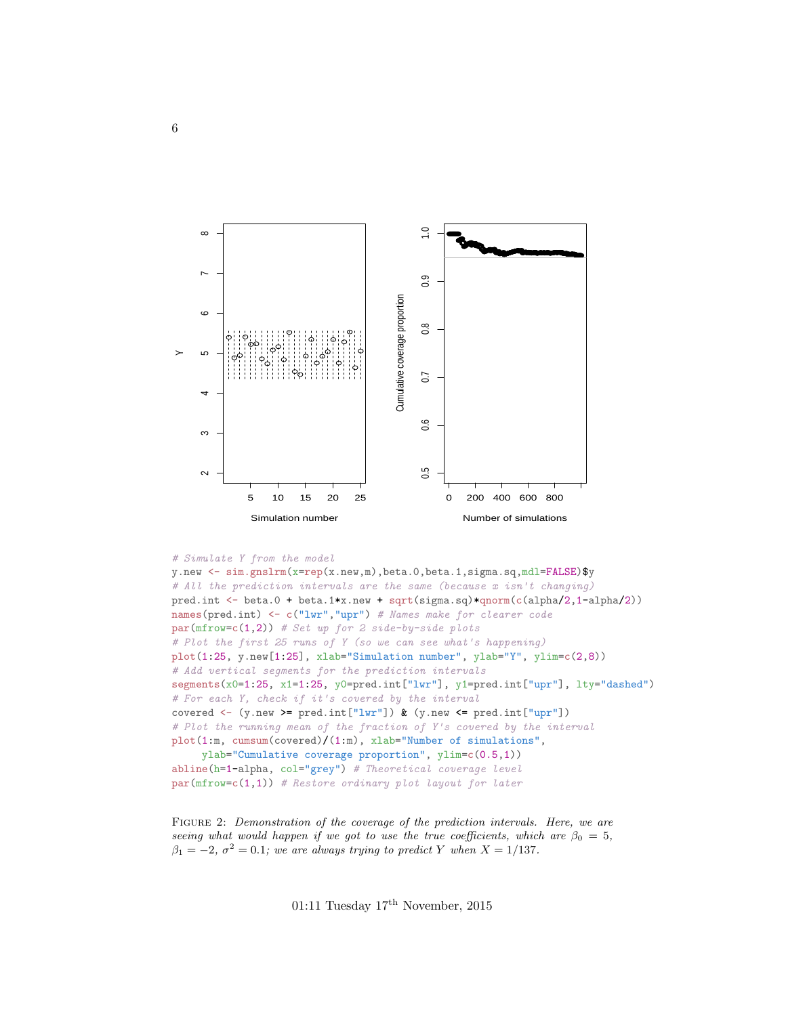<span id="page-5-0"></span>

```
# Simulate Y from the model
```

```
y.new <- sim.gnslrm(x=rep(x.new,m),beta.0,beta.1,sigma.sq,mdl=FALSE)$y
# All the prediction intervals are the same (because x isn't changing)
pred.int <- beta.0 + beta.1*x.new + sqrt(sigma.sq)*qnorm(c(alpha/2,1-alpha/2))
names(pred.int) <- c("lwr","upr") # Names make for clearer code
par(mfrow=c(1,2)) # Set up for 2 side-by-side plots
# Plot the first 25 runs of Y (so we can see what's happening)
plot(1:25, y.new[1:25], xlab="Simulation number", ylab="Y", ylim=c(2,8))
# Add vertical segments for the prediction intervals
segments(x0=1:25, x1=1:25, y0=pred.int["lwr"], y1=pred.int["upr"], lty="dashed")
# For each Y, check if it's covered by the interval
covered <- (y.new >= pred.int["lwr"]) & (y.new <= pred.int["upr"])
# Plot the running mean of the fraction of Y's covered by the interval
plot(1:m, cumsum(covered)/(1:m), xlab="Number of simulations",
     ylab="Cumulative coverage proportion", ylim=c(0.5,1))
abline(h=1-a1pha, col="grey") # Theoretical coverage level
par(mfrow=c(1,1)) # Restore ordinary plot layout for later
```
FIGURE 2: Demonstration of the coverage of the prediction intervals. Here, we are seeing what would happen if we got to use the true coefficients, which are  $\beta_0 = 5$ ,  $\beta_1 = -2, \sigma^2 = 0.1$ ; we are always trying to predict Y when  $X = 1/137$ .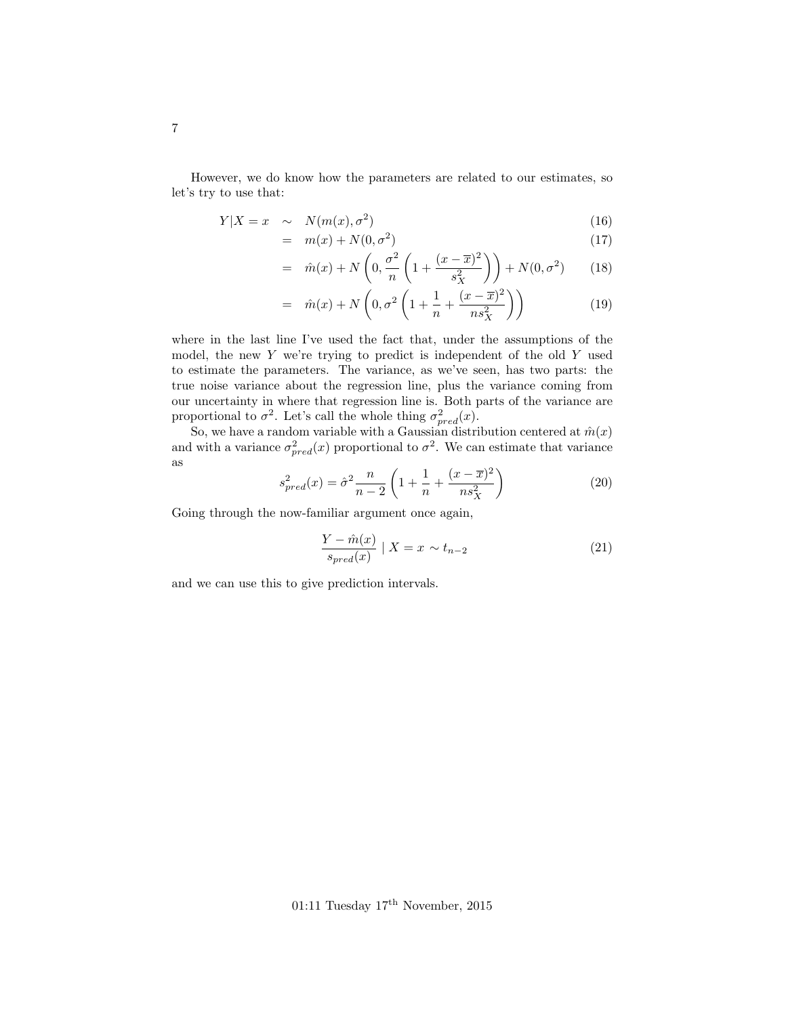However, we do know how the parameters are related to our estimates, so let's try to use that:

$$
Y|X = x \sim N(m(x), \sigma^2)
$$
\n(16)

$$
= m(x) + N(0, \sigma^2) \tag{17}
$$

$$
= \hat{m}(x) + N\left(0, \frac{\sigma^2}{n}\left(1 + \frac{(x - \overline{x})^2}{s_X^2}\right)\right) + N(0, \sigma^2) \tag{18}
$$

$$
= \hat{m}(x) + N\left(0, \sigma^2 \left(1 + \frac{1}{n} + \frac{(x - \overline{x})^2}{n s_X^2}\right)\right) \tag{19}
$$

where in the last line I've used the fact that, under the assumptions of the model, the new  $Y$  we're trying to predict is independent of the old  $Y$  used to estimate the parameters. The variance, as we've seen, has two parts: the true noise variance about the regression line, plus the variance coming from our uncertainty in where that regression line is. Both parts of the variance are proportional to  $\sigma^2$ . Let's call the whole thing  $\sigma_{pred}^2(x)$ .

So, we have a random variable with a Gaussian distribution centered at  $\hat{m}(x)$ and with a variance  $\sigma_{pred}^2(x)$  proportional to  $\sigma^2$ . We can estimate that variance as

$$
s_{pred}^2(x) = \hat{\sigma}^2 \frac{n}{n-2} \left( 1 + \frac{1}{n} + \frac{(x - \overline{x})^2}{n s_X^2} \right)
$$
 (20)

Going through the now-familiar argument once again,

$$
\frac{Y - \hat{m}(x)}{s_{pred}(x)} \mid X = x \sim t_{n-2}
$$
\n(21)

and we can use this to give prediction intervals.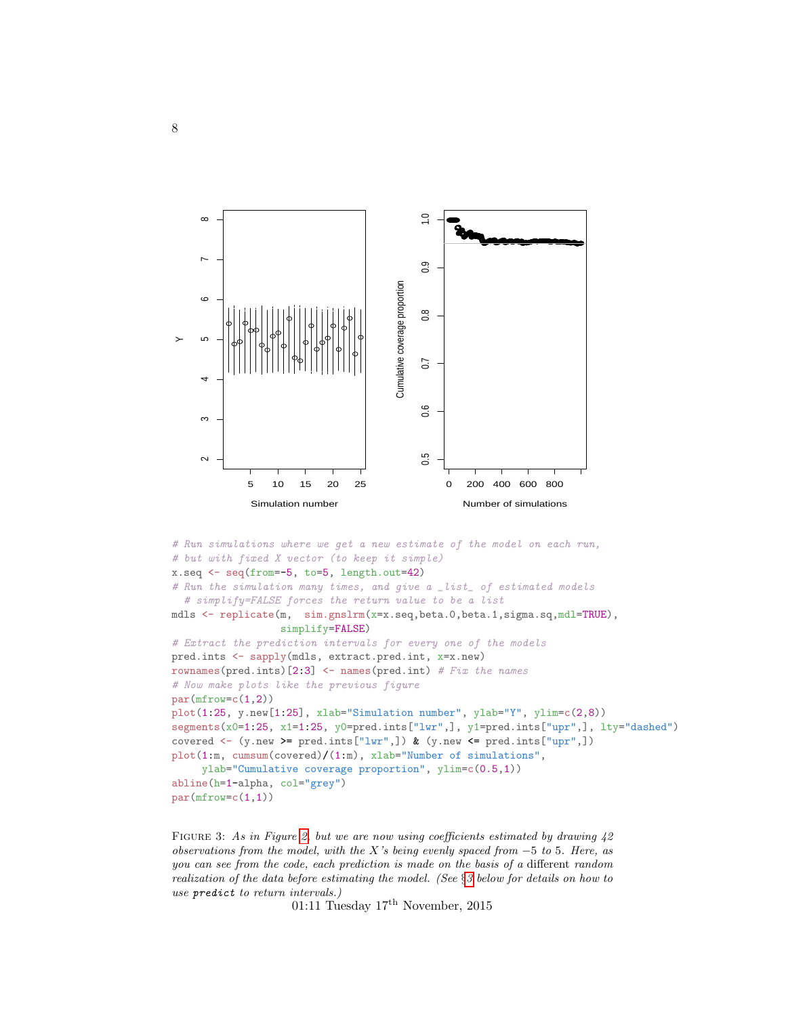<span id="page-7-0"></span>

```
# Run simulations where we get a new estimate of the model on each run,
# but with fixed X vector (to keep it simple)
x.seq <- seq(from=-5, to=5, length.out=42)
# Run the simulation many times, and give a _list_ of estimated models
  # simplify=FALSE forces the return value to be a list
mdls <- replicate(m, sim.gnslrm(x=x.seq,beta.0,beta.1,sigma.sq,mdl=TRUE),
                  simplify=FALSE)
# Extract the prediction intervals for every one of the models
pred.ints <- sapply(mdls, extract.pred.int, x=x.new)
rownames(pred.ints)[2:3] <- names(pred.int) # Fix the names
# Now make plots like the previous figure
par(mfrow=c(1,2))plot(1:25, y.new[1:25], xlab="Simulation number", ylab="Y", ylim=c(2,8))
segments(x0=1:25, x1=1:25, y0=pred.ints["lwr",], y1=pred.ints["upr",], lty="dashed")
covered \leq (y.new \geq pred.ints["lwr",]) & (y.new \leq pred.ints["upr",])
plot(1:m, cumsum(covered)/(1:m), xlab="Number of simulations",
     ylab="Cumulative coverage proportion", ylim=c(0.5,1))
abline(h=1-alpha, col="grey")
par(mfrow=c(1,1))
```
FIGURE 3: As in Figure [2,](#page-5-0) but we are now using coefficients estimated by drawing  $42$ observations from the model, with the X's being evenly spaced from  $-5$  to 5. Here, as you can see from the code, each prediction is made on the basis of a different random realization of the data before estimating the model. (See §[3](#page-10-1) below for details on how to use predict to return intervals.)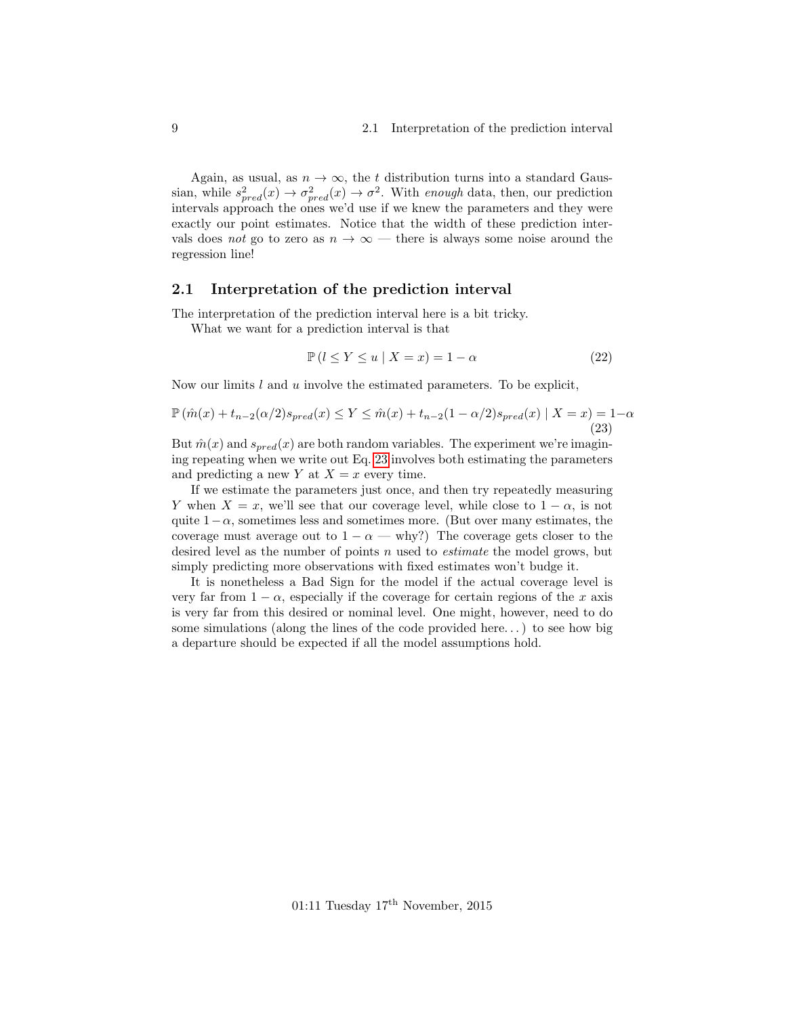Again, as usual, as  $n \to \infty$ , the t distribution turns into a standard Gaussian, while  $s_{pred}^2(x) \rightarrow \sigma_{pred}^2(x) \rightarrow \sigma^2$ . With enough data, then, our prediction intervals approach the ones we'd use if we knew the parameters and they were exactly our point estimates. Notice that the width of these prediction intervals does not go to zero as  $n \to \infty$  — there is always some noise around the regression line!

#### <span id="page-8-0"></span>2.1 Interpretation of the prediction interval

The interpretation of the prediction interval here is a bit tricky.

What we want for a prediction interval is that

$$
\mathbb{P}\left(l \le Y \le u \mid X = x\right) = 1 - \alpha\tag{22}
$$

Now our limits l and u involve the estimated parameters. To be explicit,

<span id="page-8-1"></span>
$$
\mathbb{P}\left(\hat{m}(x) + t_{n-2}(\alpha/2)s_{pred}(x) \le Y \le \hat{m}(x) + t_{n-2}(1-\alpha/2)s_{pred}(x) \mid X = x\right) = 1-\alpha
$$
\n(23)

But  $\hat{m}(x)$  and  $s_{pred}(x)$  are both random variables. The experiment we're imagining repeating when we write out Eq. [23](#page-8-1) involves both estimating the parameters and predicting a new Y at  $X = x$  every time.

If we estimate the parameters just once, and then try repeatedly measuring Y when  $X = x$ , we'll see that our coverage level, while close to  $1 - \alpha$ , is not quite  $1-\alpha$ , sometimes less and sometimes more. (But over many estimates, the coverage must average out to  $1 - \alpha$  — why?) The coverage gets closer to the desired level as the number of points n used to estimate the model grows, but simply predicting more observations with fixed estimates won't budge it.

It is nonetheless a Bad Sign for the model if the actual coverage level is very far from  $1 - \alpha$ , especially if the coverage for certain regions of the x axis is very far from this desired or nominal level. One might, however, need to do some simulations (along the lines of the code provided here. . . ) to see how big a departure should be expected if all the model assumptions hold.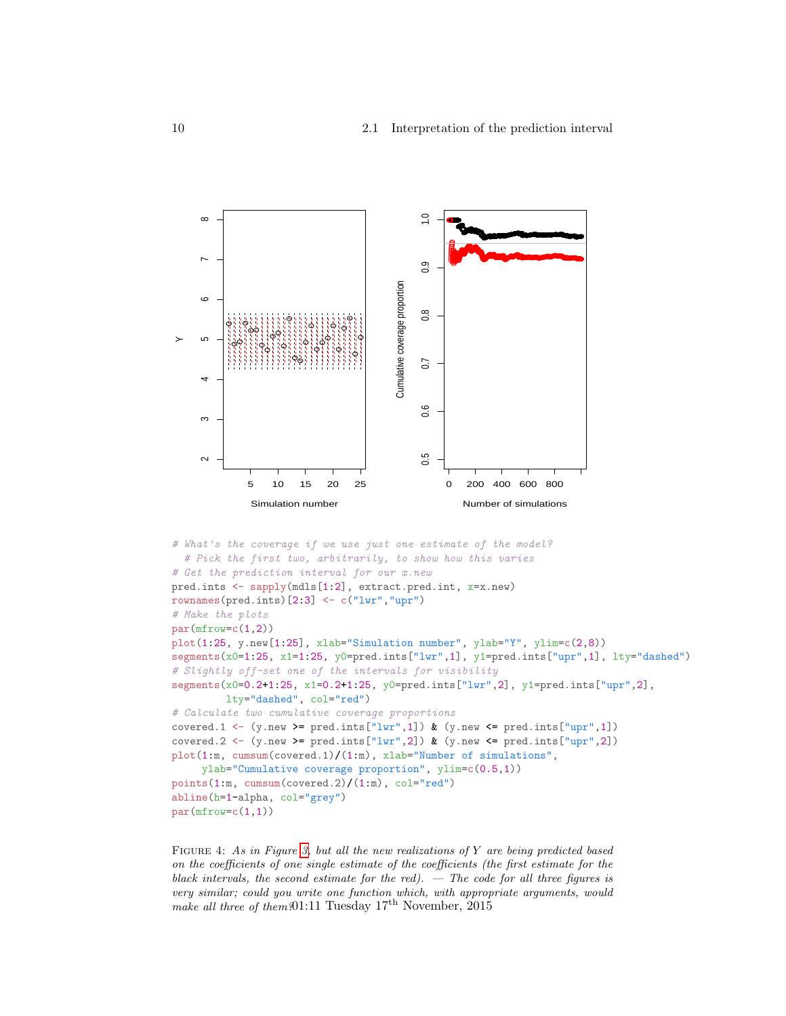

Figure 4: As in Figure [3,](#page-7-0) but all the new realizations of Y are being predicted based on the coefficients of one single estimate of the coefficients (the first estimate for the black intervals, the second estimate for the red).  $-$  The code for all three figures is very similar; could you write one function which, with appropriate arguments, would make all three of them?01:11 Tuesday  $17<sup>th</sup>$  November,  $2015$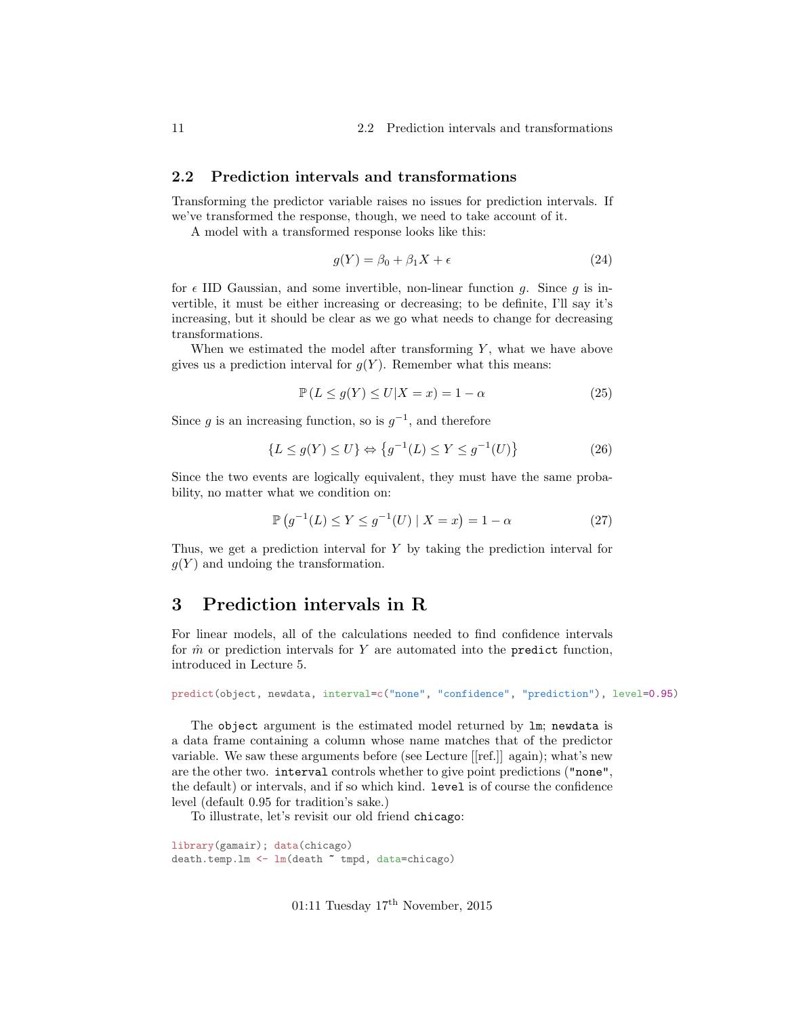#### <span id="page-10-0"></span>2.2 Prediction intervals and transformations

Transforming the predictor variable raises no issues for prediction intervals. If we've transformed the response, though, we need to take account of it.

A model with a transformed response looks like this:

$$
g(Y) = \beta_0 + \beta_1 X + \epsilon \tag{24}
$$

for  $\epsilon$  IID Gaussian, and some invertible, non-linear function g. Since g is invertible, it must be either increasing or decreasing; to be definite, I'll say it's increasing, but it should be clear as we go what needs to change for decreasing transformations.

When we estimated the model after transforming  $Y$ , what we have above gives us a prediction interval for  $g(Y)$ . Remember what this means:

$$
\mathbb{P}\left(L \le g(Y) \le U | X = x\right) = 1 - \alpha \tag{25}
$$

Since g is an increasing function, so is  $g^{-1}$ , and therefore

$$
\{L \le g(Y) \le U\} \Leftrightarrow \{g^{-1}(L) \le Y \le g^{-1}(U)\}\tag{26}
$$

Since the two events are logically equivalent, they must have the same probability, no matter what we condition on:

$$
\mathbb{P}\left(g^{-1}(L) \le Y \le g^{-1}(U) \mid X = x\right) = 1 - \alpha \tag{27}
$$

Thus, we get a prediction interval for Y by taking the prediction interval for  $g(Y)$  and undoing the transformation.

# <span id="page-10-1"></span>3 Prediction intervals in R

For linear models, all of the calculations needed to find confidence intervals for  $\hat{m}$  or prediction intervals for Y are automated into the predict function, introduced in Lecture 5.

predict(object, newdata, interval=c("none", "confidence", "prediction"), level=0.95)

The object argument is the estimated model returned by lm; newdata is a data frame containing a column whose name matches that of the predictor variable. We saw these arguments before (see Lecture [[ref.]] again); what's new are the other two. interval controls whether to give point predictions ("none", the default) or intervals, and if so which kind. level is of course the confidence level (default 0.95 for tradition's sake.)

To illustrate, let's revisit our old friend chicago:

library(gamair); data(chicago) death.temp.lm <- lm(death ~ tmpd, data=chicago)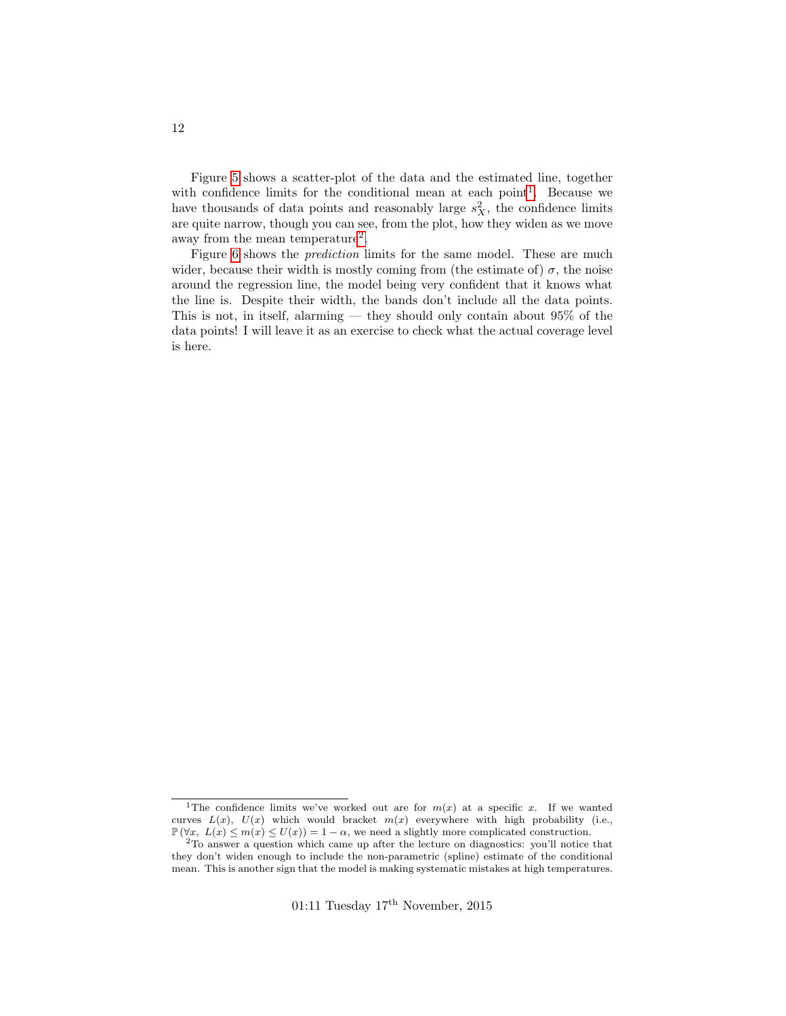Figure [5](#page-12-0) shows a scatter-plot of the data and the estimated line, together with confidence limits for the conditional mean at each point<sup>[1](#page-11-0)</sup>. Because we have thousands of data points and reasonably large  $s_X^2$ , the confidence limits are quite narrow, though you can see, from the plot, how they widen as we move away from the mean temperature<sup>[2](#page-11-1)</sup>.

Figure [6](#page-13-0) shows the prediction limits for the same model. These are much wider, because their width is mostly coming from (the estimate of)  $\sigma$ , the noise around the regression line, the model being very confident that it knows what the line is. Despite their width, the bands don't include all the data points. This is not, in itself, alarming — they should only contain about  $95\%$  of the data points! I will leave it as an exercise to check what the actual coverage level is here.

<span id="page-11-0"></span><sup>&</sup>lt;sup>1</sup>The confidence limits we've worked out are for  $m(x)$  at a specific x. If we wanted curves  $L(x)$ ,  $U(x)$  which would bracket  $m(x)$  everywhere with high probability (i.e.,  $\mathbb{P}(\forall x, L(x) \leq m(x) \leq U(x)) = 1 - \alpha$ , we need a slightly more complicated construction.

<span id="page-11-1"></span><sup>2</sup>To answer a question which came up after the lecture on diagnostics: you'll notice that they don't widen enough to include the non-parametric (spline) estimate of the conditional mean. This is another sign that the model is making systematic mistakes at high temperatures.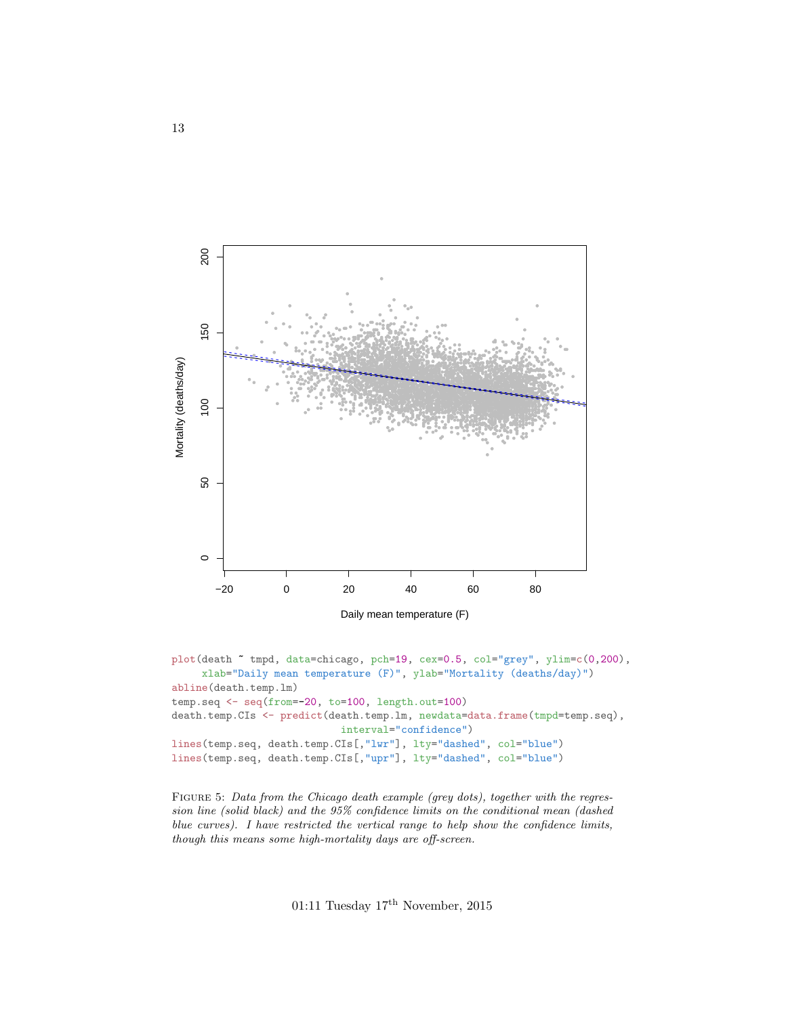<span id="page-12-0"></span>

```
plot(death "tmpd, data=chicago, pch=19, cex=0.5, col="grey", ylim=c(0,200),
     xlab="Daily mean temperature (F)", ylab="Mortality (deaths/day)")
abline(death.temp.lm)
temp.\texttt{seq} \leftarrow \texttt{seq}(\texttt{from=}-20, \texttt{to=}100, \texttt{length}.\texttt{out=100})death.temp.CIs <- predict(death.temp.lm, newdata=data.frame(tmpd=temp.seq),
                                interval="confidence")
lines(temp.seq, death.temp.CIs[,"lwr"], lty="dashed", col="blue")
lines(temp.seq, death.temp.CIs[,"upr"], lty="dashed", col="blue")
```
FIGURE 5: Data from the Chicago death example (grey dots), together with the regression line (solid black) and the 95% confidence limits on the conditional mean (dashed blue curves). I have restricted the vertical range to help show the confidence limits, though this means some high-mortality days are off-screen.